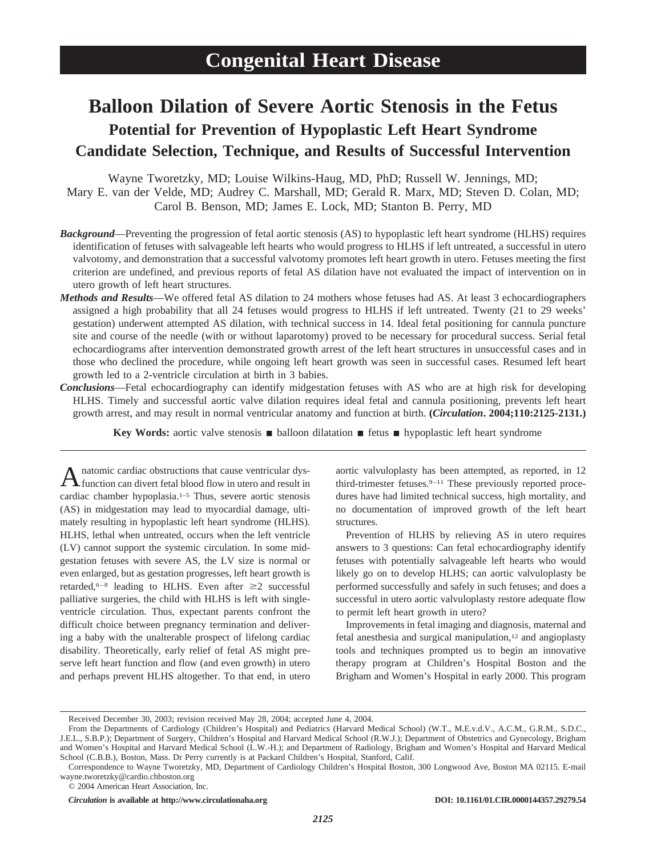# **Balloon Dilation of Severe Aortic Stenosis in the Fetus Potential for Prevention of Hypoplastic Left Heart Syndrome Candidate Selection, Technique, and Results of Successful Intervention**

Wayne Tworetzky, MD; Louise Wilkins-Haug, MD, PhD; Russell W. Jennings, MD; Mary E. van der Velde, MD; Audrey C. Marshall, MD; Gerald R. Marx, MD; Steven D. Colan, MD; Carol B. Benson, MD; James E. Lock, MD; Stanton B. Perry, MD

- *Background*—Preventing the progression of fetal aortic stenosis (AS) to hypoplastic left heart syndrome (HLHS) requires identification of fetuses with salvageable left hearts who would progress to HLHS if left untreated, a successful in utero valvotomy, and demonstration that a successful valvotomy promotes left heart growth in utero. Fetuses meeting the first criterion are undefined, and previous reports of fetal AS dilation have not evaluated the impact of intervention on in utero growth of left heart structures.
- *Methods and Results*—We offered fetal AS dilation to 24 mothers whose fetuses had AS. At least 3 echocardiographers assigned a high probability that all 24 fetuses would progress to HLHS if left untreated. Twenty (21 to 29 weeks' gestation) underwent attempted AS dilation, with technical success in 14. Ideal fetal positioning for cannula puncture site and course of the needle (with or without laparotomy) proved to be necessary for procedural success. Serial fetal echocardiograms after intervention demonstrated growth arrest of the left heart structures in unsuccessful cases and in those who declined the procedure, while ongoing left heart growth was seen in successful cases. Resumed left heart growth led to a 2-ventricle circulation at birth in 3 babies.
- *Conclusions*—Fetal echocardiography can identify midgestation fetuses with AS who are at high risk for developing HLHS. Timely and successful aortic valve dilation requires ideal fetal and cannula positioning, prevents left heart growth arrest, and may result in normal ventricular anatomy and function at birth. **(***Circulation***. 2004;110:2125-2131.)**

**Key Words:** aortic valve stenosis **n** balloon dilatation **n** fetus **n** hypoplastic left heart syndrome

A natomic cardiac obstructions that cause ventricular dys-<br>function can divert fetal blood flow in utero and result in cardiac chamber hypoplasia.1–5 Thus, severe aortic stenosis (AS) in midgestation may lead to myocardial damage, ultimately resulting in hypoplastic left heart syndrome (HLHS). HLHS, lethal when untreated, occurs when the left ventricle (LV) cannot support the systemic circulation. In some midgestation fetuses with severe AS, the LV size is normal or even enlarged, but as gestation progresses, left heart growth is retarded,<sup>6–8</sup> leading to HLHS. Even after  $\geq 2$  successful palliative surgeries, the child with HLHS is left with singleventricle circulation. Thus, expectant parents confront the difficult choice between pregnancy termination and delivering a baby with the unalterable prospect of lifelong cardiac disability. Theoretically, early relief of fetal AS might preserve left heart function and flow (and even growth) in utero and perhaps prevent HLHS altogether. To that end, in utero

aortic valvuloplasty has been attempted, as reported, in 12 third-trimester fetuses.9–11 These previously reported procedures have had limited technical success, high mortality, and no documentation of improved growth of the left heart structures.

Prevention of HLHS by relieving AS in utero requires answers to 3 questions: Can fetal echocardiography identify fetuses with potentially salvageable left hearts who would likely go on to develop HLHS; can aortic valvuloplasty be performed successfully and safely in such fetuses; and does a successful in utero aortic valvuloplasty restore adequate flow to permit left heart growth in utero?

Improvements in fetal imaging and diagnosis, maternal and fetal anesthesia and surgical manipulation,<sup>12</sup> and angioplasty tools and techniques prompted us to begin an innovative therapy program at Children's Hospital Boston and the Brigham and Women's Hospital in early 2000. This program

© 2004 American Heart Association, Inc.

Received December 30, 2003; revision received May 28, 2004; accepted June 4, 2004.

From the Departments of Cardiology (Children's Hospital) and Pediatrics (Harvard Medical School) (W.T., M.E.v.d.V., A.C.M., G.R.M., S.D.C., J.E.L., S.B.P.); Department of Surgery, Children's Hospital and Harvard Medical School (R.W.J.); Department of Obstetrics and Gynecology, Brigham and Women's Hospital and Harvard Medical School (L.W.-H.); and Department of Radiology, Brigham and Women's Hospital and Harvard Medical School (C.B.B.), Boston, Mass. Dr Perry currently is at Packard Children's Hospital, Stanford, Calif.

Correspondence to Wayne Tworetzky, MD, Department of Cardiology Children's Hospital Boston, 300 Longwood Ave, Boston MA 02115. E-mail wayne.tworetzky@cardio.chboston.org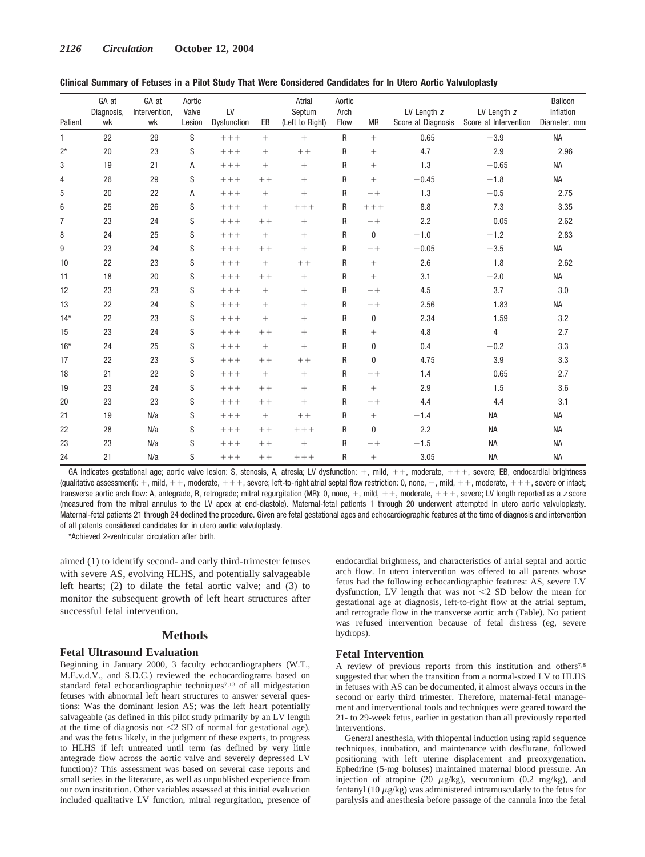| Patient        | GA at<br>Diagnosis,<br>wk | GA at<br>Intervention,<br>wk | Aortic<br>Valve<br>Lesion | LV<br>Dysfunction | EB     | Atrial<br>Septum<br>(Left to Right) | Aortic<br>Arch<br>Flow | <b>MR</b> | LV Length z<br>Score at Diagnosis | LV Length z<br>Score at Intervention | Balloon<br>Inflation<br>Diameter, mm |
|----------------|---------------------------|------------------------------|---------------------------|-------------------|--------|-------------------------------------|------------------------|-----------|-----------------------------------|--------------------------------------|--------------------------------------|
| $\mathbf{1}$   | 22                        | 29                           | S                         | $+++$             | $+$    | $^{+}$                              | $\mathsf{R}$           | $+$       | 0.65                              | $-3.9$                               | <b>NA</b>                            |
| $2^*$          | 20                        | 23                           | S                         | $+++$             | $+$    | $++$                                | R                      | $^{+}$    | 4.7                               | 2.9                                  | 2.96                                 |
| 3              | 19                        | 21                           | Α                         | $++++$            | $^{+}$ | $^{+}$                              | R                      | $^{+}$    | 1.3                               | $-0.65$                              | <b>NA</b>                            |
| 4              | 26                        | 29                           | S                         | $++++$            | $++$   | $^{+}$                              | R                      | $^{+}$    | $-0.45$                           | $-1.8$                               | <b>NA</b>                            |
| 5              | 20                        | 22                           | A                         | $+++$             | $^{+}$ | $^{+}$                              | R                      | $++$      | 1.3                               | $-0.5$                               | 2.75                                 |
| 6              | 25                        | 26                           | S                         | $+++$             | $^{+}$ | $++++$                              | R                      | $+++$     | 8.8                               | 7.3                                  | 3.35                                 |
| $\overline{7}$ | 23                        | 24                           | S                         | $++++$            | $++$   | $^{+}$                              | R                      | $++$      | 2.2                               | 0.05                                 | 2.62                                 |
| 8              | 24                        | 25                           | S                         | $+++$             | $^{+}$ | $^{+}$                              | R                      | 0         | $-1.0$                            | $-1.2$                               | 2.83                                 |
| 9              | 23                        | 24                           | S                         | $++++$            | $++$   | $^{+}$                              | $\mathsf R$            | $++$      | $-0.05$                           | $-3.5$                               | <b>NA</b>                            |
| 10             | 22                        | 23                           | S                         | $++++$            | $^{+}$ | $++$                                | R                      | $^{+}$    | 2.6                               | 1.8                                  | 2.62                                 |
| 11             | 18                        | 20                           | S                         | $++++$            | $++$   | $^{+}$                              | R                      | $^{+}$    | 3.1                               | $-2.0$                               | <b>NA</b>                            |
| 12             | 23                        | 23                           | S                         | $++++$            | $^{+}$ | $^{+}$                              | R                      | $++$      | 4.5                               | 3.7                                  | 3.0                                  |
| 13             | 22                        | 24                           | S                         | $+++$             | $^{+}$ | $^{+}$                              | R                      | $++$      | 2.56                              | 1.83                                 | <b>NA</b>                            |
| $14*$          | 22                        | 23                           | S                         | $+++$             | $^{+}$ | $^{+}$                              | R                      | 0         | 2.34                              | 1.59                                 | 3.2                                  |
| 15             | 23                        | 24                           | S                         | $++++$            | $++$   | $^{+}$                              | R                      | $^{+}$    | 4.8                               | 4                                    | 2.7                                  |
| $16*$          | 24                        | 25                           | S                         | $++++$            | $^{+}$ | $^{+}$                              | R                      | 0         | 0.4                               | $-0.2$                               | 3.3                                  |
| 17             | 22                        | 23                           | S                         | $++++$            | $++$   | $++$                                | R                      | 0         | 4.75                              | 3.9                                  | 3.3                                  |
| 18             | 21                        | 22                           | S                         | $+++$             | $^{+}$ | $^{+}$                              | R                      | $++$      | 1.4                               | 0.65                                 | 2.7                                  |
| 19             | 23                        | 24                           | S                         | $++++$            | $++$   | $^{+}$                              | R                      | $^{+}$    | 2.9                               | 1.5                                  | 3.6                                  |
| 20             | 23                        | 23                           | S                         | $++++$            | $++$   | $^{+}$                              | R                      | $++$      | 4.4                               | 4.4                                  | 3.1                                  |
| 21             | 19                        | N/a                          | S                         | $++++$            | $^{+}$ | $++$                                | R                      | $^{+}$    | $-1.4$                            | <b>NA</b>                            | <b>NA</b>                            |
| 22             | 28                        | N/a                          | S                         | $++++$            | $++$   | $++++$                              | R                      | 0         | 2.2                               | <b>NA</b>                            | <b>NA</b>                            |
| 23             | 23                        | N/a                          | S                         | $++++$            | $++$   | $^{+}$                              | R                      | $++$      | $-1.5$                            | <b>NA</b>                            | <b>NA</b>                            |
| 24             | 21                        | N/a                          | S                         | $++++$            | $++$   | $++++$                              | R                      | $^{+}$    | 3.05                              | <b>NA</b>                            | <b>NA</b>                            |

GA indicates gestational age; aortic valve Iesion: S, stenosis, A, atresia; LV dysfunction: +, mild, ++, moderate, +++, severe; EB, endocardial brightness (qualitative assessment): +, mild, ++, moderate, +++, severe; left-to-right atrial septal flow restriction: 0, none, +, mild, ++, moderate, +++, severe or intact; transverse aortic arch flow: A, antegrade, R, retrograde; mitral regurgitation (MR): 0, none, +, mild, ++, moderate, +++, severe; LV length reported as a *z* score (measured from the mitral annulus to the LV apex at end-diastole). Maternal-fetal patients 1 through 20 underwent attempted in utero aortic valvuloplasty. Maternal-fetal patients 21 through 24 declined the procedure. Given are fetal gestational ages and echocardiographic features at the time of diagnosis and intervention of all patents considered candidates for in utero aortic valvuloplasty.

\*Achieved 2-ventricular circulation after birth.

aimed (1) to identify second- and early third-trimester fetuses with severe AS, evolving HLHS, and potentially salvageable left hearts; (2) to dilate the fetal aortic valve; and (3) to monitor the subsequent growth of left heart structures after successful fetal intervention.

## **Methods**

## **Fetal Ultrasound Evaluation**

Beginning in January 2000, 3 faculty echocardiographers (W.T., M.E.v.d.V., and S.D.C.) reviewed the echocardiograms based on standard fetal echocardiographic techniques7,13 of all midgestation fetuses with abnormal left heart structures to answer several questions: Was the dominant lesion AS; was the left heart potentially salvageable (as defined in this pilot study primarily by an LV length at the time of diagnosis not  $\leq$  2 SD of normal for gestational age), and was the fetus likely, in the judgment of these experts, to progress to HLHS if left untreated until term (as defined by very little antegrade flow across the aortic valve and severely depressed LV function)? This assessment was based on several case reports and small series in the literature, as well as unpublished experience from our own institution. Other variables assessed at this initial evaluation included qualitative LV function, mitral regurgitation, presence of endocardial brightness, and characteristics of atrial septal and aortic arch flow. In utero intervention was offered to all parents whose fetus had the following echocardiographic features: AS, severe LV dysfunction, LV length that was not  $\leq$  2 SD below the mean for gestational age at diagnosis, left-to-right flow at the atrial septum, and retrograde flow in the transverse aortic arch (Table). No patient was refused intervention because of fetal distress (eg, severe hydrops).

# **Fetal Intervention**

A review of previous reports from this institution and others7,8 suggested that when the transition from a normal-sized LV to HLHS in fetuses with AS can be documented, it almost always occurs in the second or early third trimester. Therefore, maternal-fetal management and interventional tools and techniques were geared toward the 21- to 29-week fetus, earlier in gestation than all previously reported interventions.

General anesthesia, with thiopental induction using rapid sequence techniques, intubation, and maintenance with desflurane, followed positioning with left uterine displacement and preoxygenation. Ephedrine (5-mg boluses) maintained maternal blood pressure. An injection of atropine (20  $\mu$ g/kg), vecuronium (0.2 mg/kg), and fentanyl (10  $\mu$ g/kg) was administered intramuscularly to the fetus for paralysis and anesthesia before passage of the cannula into the fetal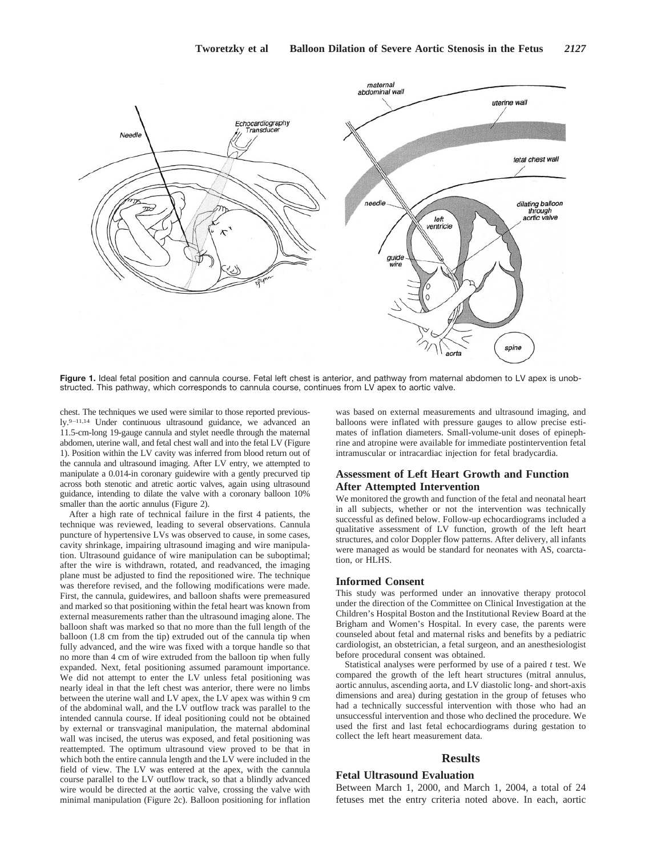

Figure 1. Ideal fetal position and cannula course. Fetal left chest is anterior, and pathway from maternal abdomen to LV apex is unobstructed. This pathway, which corresponds to cannula course, continues from LV apex to aortic valve.

chest. The techniques we used were similar to those reported previously.9–11,14 Under continuous ultrasound guidance, we advanced an 11.5-cm-long 19-gauge cannula and stylet needle through the maternal abdomen, uterine wall, and fetal chest wall and into the fetal LV (Figure 1). Position within the LV cavity was inferred from blood return out of the cannula and ultrasound imaging. After LV entry, we attempted to manipulate a 0.014-in coronary guidewire with a gently precurved tip across both stenotic and atretic aortic valves, again using ultrasound guidance, intending to dilate the valve with a coronary balloon 10% smaller than the aortic annulus (Figure 2).

After a high rate of technical failure in the first 4 patients, the technique was reviewed, leading to several observations. Cannula puncture of hypertensive LVs was observed to cause, in some cases, cavity shrinkage, impairing ultrasound imaging and wire manipulation. Ultrasound guidance of wire manipulation can be suboptimal; after the wire is withdrawn, rotated, and readvanced, the imaging plane must be adjusted to find the repositioned wire. The technique was therefore revised, and the following modifications were made. First, the cannula, guidewires, and balloon shafts were premeasured and marked so that positioning within the fetal heart was known from external measurements rather than the ultrasound imaging alone. The balloon shaft was marked so that no more than the full length of the balloon (1.8 cm from the tip) extruded out of the cannula tip when fully advanced, and the wire was fixed with a torque handle so that no more than 4 cm of wire extruded from the balloon tip when fully expanded. Next, fetal positioning assumed paramount importance. We did not attempt to enter the LV unless fetal positioning was nearly ideal in that the left chest was anterior, there were no limbs between the uterine wall and LV apex, the LV apex was within 9 cm of the abdominal wall, and the LV outflow track was parallel to the intended cannula course. If ideal positioning could not be obtained by external or transvaginal manipulation, the maternal abdominal wall was incised, the uterus was exposed, and fetal positioning was reattempted. The optimum ultrasound view proved to be that in which both the entire cannula length and the LV were included in the field of view. The LV was entered at the apex, with the cannula course parallel to the LV outflow track, so that a blindly advanced wire would be directed at the aortic valve, crossing the valve with minimal manipulation (Figure 2c). Balloon positioning for inflation

was based on external measurements and ultrasound imaging, and balloons were inflated with pressure gauges to allow precise estimates of inflation diameters. Small-volume-unit doses of epinephrine and atropine were available for immediate postintervention fetal intramuscular or intracardiac injection for fetal bradycardia.

# **Assessment of Left Heart Growth and Function After Attempted Intervention**

We monitored the growth and function of the fetal and neonatal heart in all subjects, whether or not the intervention was technically successful as defined below. Follow-up echocardiograms included a qualitative assessment of LV function, growth of the left heart structures, and color Doppler flow patterns. After delivery, all infants were managed as would be standard for neonates with AS, coarctation, or HLHS.

#### **Informed Consent**

This study was performed under an innovative therapy protocol under the direction of the Committee on Clinical Investigation at the Children's Hospital Boston and the Institutional Review Board at the Brigham and Women's Hospital. In every case, the parents were counseled about fetal and maternal risks and benefits by a pediatric cardiologist, an obstetrician, a fetal surgeon, and an anesthesiologist before procedural consent was obtained.

Statistical analyses were performed by use of a paired *t* test. We compared the growth of the left heart structures (mitral annulus, aortic annulus, ascending aorta, and LV diastolic long- and short-axis dimensions and area) during gestation in the group of fetuses who had a technically successful intervention with those who had an unsuccessful intervention and those who declined the procedure. We used the first and last fetal echocardiograms during gestation to collect the left heart measurement data.

## **Results**

## **Fetal Ultrasound Evaluation**

Between March 1, 2000, and March 1, 2004, a total of 24 fetuses met the entry criteria noted above. In each, aortic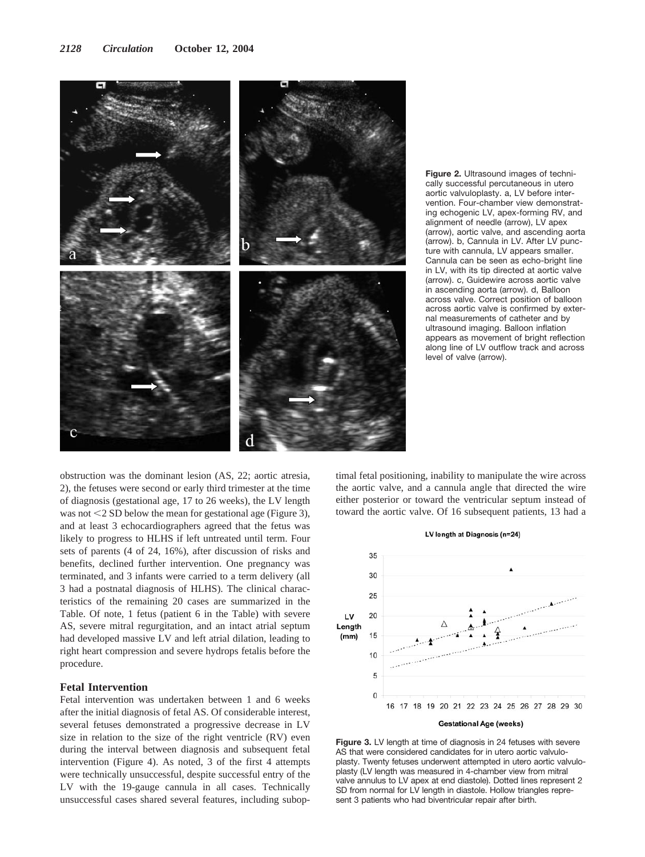

**Figure 2.** Ultrasound images of technically successful percutaneous in utero aortic valvuloplasty. a, LV before intervention. Four-chamber view demonstrating echogenic LV, apex-forming RV, and alignment of needle (arrow), LV apex (arrow), aortic valve, and ascending aorta (arrow). b, Cannula in LV. After LV puncture with cannula, LV appears smaller. Cannula can be seen as echo-bright line in LV, with its tip directed at aortic valve (arrow). c, Guidewire across aortic valve in ascending aorta (arrow). d, Balloon across valve. Correct position of balloon across aortic valve is confirmed by external measurements of catheter and by ultrasound imaging. Balloon inflation appears as movement of bright reflection along line of LV outflow track and across level of valve (arrow).

obstruction was the dominant lesion (AS, 22; aortic atresia, 2), the fetuses were second or early third trimester at the time of diagnosis (gestational age, 17 to 26 weeks), the LV length was not  $\leq$  2 SD below the mean for gestational age (Figure 3), and at least 3 echocardiographers agreed that the fetus was likely to progress to HLHS if left untreated until term. Four sets of parents (4 of 24, 16%), after discussion of risks and benefits, declined further intervention. One pregnancy was terminated, and 3 infants were carried to a term delivery (all 3 had a postnatal diagnosis of HLHS). The clinical characteristics of the remaining 20 cases are summarized in the Table. Of note, 1 fetus (patient 6 in the Table) with severe AS, severe mitral regurgitation, and an intact atrial septum had developed massive LV and left atrial dilation, leading to right heart compression and severe hydrops fetalis before the procedure.

# **Fetal Intervention**

Fetal intervention was undertaken between 1 and 6 weeks after the initial diagnosis of fetal AS. Of considerable interest, several fetuses demonstrated a progressive decrease in LV size in relation to the size of the right ventricle (RV) even during the interval between diagnosis and subsequent fetal intervention (Figure 4). As noted, 3 of the first 4 attempts were technically unsuccessful, despite successful entry of the LV with the 19-gauge cannula in all cases. Technically unsuccessful cases shared several features, including subop-

timal fetal positioning, inability to manipulate the wire across the aortic valve, and a cannula angle that directed the wire either posterior or toward the ventricular septum instead of toward the aortic valve. Of 16 subsequent patients, 13 had a



Figure 3. LV length at time of diagnosis in 24 fetuses with severe AS that were considered candidates for in utero aortic valvuloplasty. Twenty fetuses underwent attempted in utero aortic valvuloplasty (LV length was measured in 4-chamber view from mitral valve annulus to LV apex at end diastole). Dotted lines represent 2 SD from normal for LV length in diastole. Hollow triangles represent 3 patients who had biventricular repair after birth.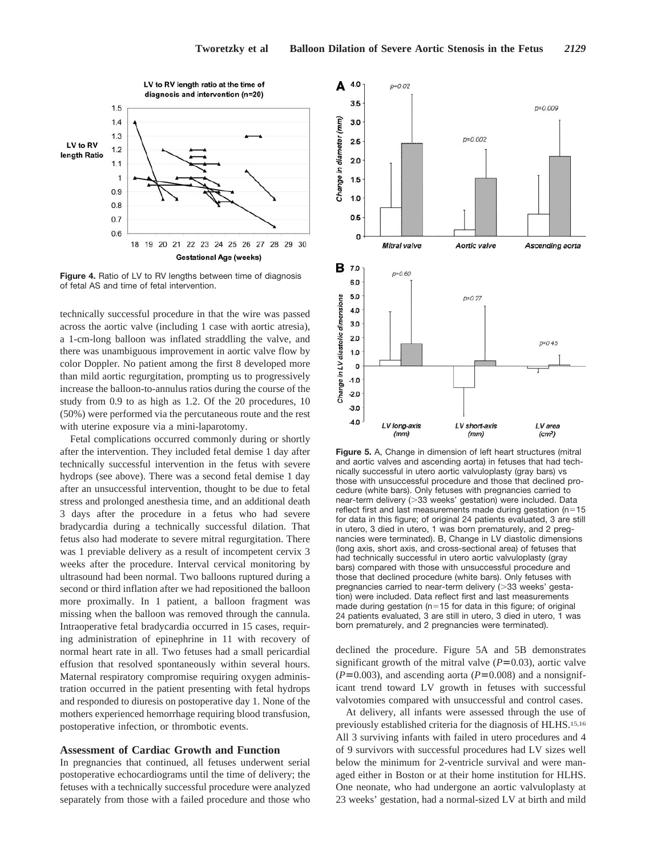

**Figure 4.** Ratio of LV to RV lengths between time of diagnosis of fetal AS and time of fetal intervention.

technically successful procedure in that the wire was passed across the aortic valve (including 1 case with aortic atresia), a 1-cm-long balloon was inflated straddling the valve, and there was unambiguous improvement in aortic valve flow by color Doppler. No patient among the first 8 developed more than mild aortic regurgitation, prompting us to progressively increase the balloon-to-annulus ratios during the course of the study from 0.9 to as high as 1.2. Of the 20 procedures, 10 (50%) were performed via the percutaneous route and the rest with uterine exposure via a mini-laparotomy.

Fetal complications occurred commonly during or shortly after the intervention. They included fetal demise 1 day after technically successful intervention in the fetus with severe hydrops (see above). There was a second fetal demise 1 day after an unsuccessful intervention, thought to be due to fetal stress and prolonged anesthesia time, and an additional death 3 days after the procedure in a fetus who had severe bradycardia during a technically successful dilation. That fetus also had moderate to severe mitral regurgitation. There was 1 previable delivery as a result of incompetent cervix 3 weeks after the procedure. Interval cervical monitoring by ultrasound had been normal. Two balloons ruptured during a second or third inflation after we had repositioned the balloon more proximally. In 1 patient, a balloon fragment was missing when the balloon was removed through the cannula. Intraoperative fetal bradycardia occurred in 15 cases, requiring administration of epinephrine in 11 with recovery of normal heart rate in all. Two fetuses had a small pericardial effusion that resolved spontaneously within several hours. Maternal respiratory compromise requiring oxygen administration occurred in the patient presenting with fetal hydrops and responded to diuresis on postoperative day 1. None of the mothers experienced hemorrhage requiring blood transfusion, postoperative infection, or thrombotic events.

# **Assessment of Cardiac Growth and Function**

In pregnancies that continued, all fetuses underwent serial postoperative echocardiograms until the time of delivery; the fetuses with a technically successful procedure were analyzed separately from those with a failed procedure and those who



**Figure 5.** A, Change in dimension of left heart structures (mitral and aortic valves and ascending aorta) in fetuses that had technically successful in utero aortic valvuloplasty (gray bars) vs those with unsuccessful procedure and those that declined procedure (white bars). Only fetuses with pregnancies carried to near-term delivery (> 33 weeks' gestation) were included. Data reflect first and last measurements made during gestation ( $n=15$ for data in this figure; of original 24 patients evaluated, 3 are still in utero, 3 died in utero, 1 was born prematurely, and 2 pregnancies were terminated). B, Change in LV diastolic dimensions (long axis, short axis, and cross-sectional area) of fetuses that had technically successful in utero aortic valvuloplasty (gray bars) compared with those with unsuccessful procedure and those that declined procedure (white bars). Only fetuses with pregnancies carried to near-term delivery (>33 weeks' gestation) were included. Data reflect first and last measurements made during gestation ( $n=15$  for data in this figure; of original 24 patients evaluated, 3 are still in utero, 3 died in utero, 1 was born prematurely, and 2 pregnancies were terminated).

declined the procedure. Figure 5A and 5B demonstrates significant growth of the mitral valve  $(P=0.03)$ , aortic valve  $(P=0.003)$ , and ascending aorta ( $P=0.008$ ) and a nonsignificant trend toward LV growth in fetuses with successful valvotomies compared with unsuccessful and control cases.

At delivery, all infants were assessed through the use of previously established criteria for the diagnosis of HLHS.15,16 All 3 surviving infants with failed in utero procedures and 4 of 9 survivors with successful procedures had LV sizes well below the minimum for 2-ventricle survival and were managed either in Boston or at their home institution for HLHS. One neonate, who had undergone an aortic valvuloplasty at 23 weeks' gestation, had a normal-sized LV at birth and mild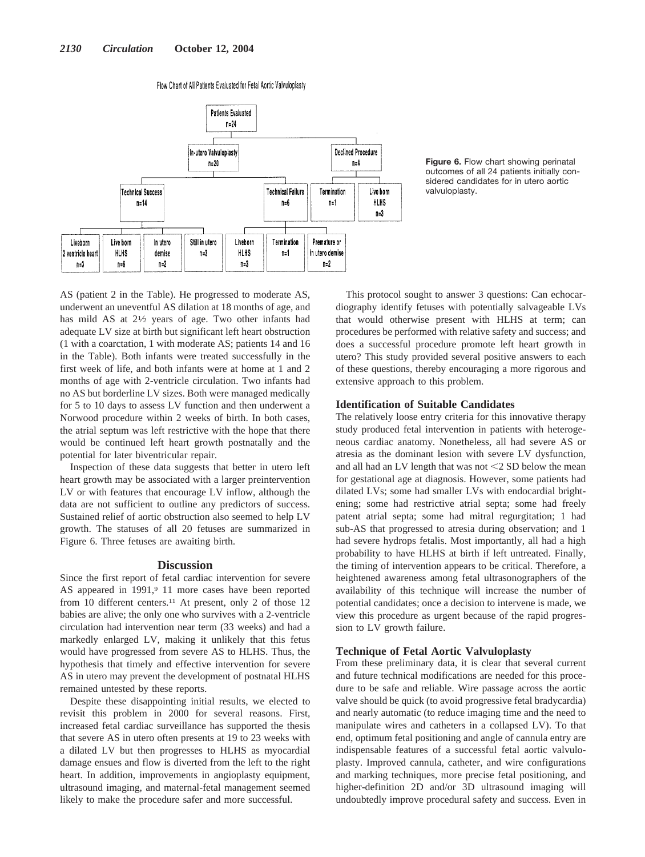#### Flow Chart of All Patients Evaluated for Fetal Aortic Valvuloplasty



**Figure 6.** Flow chart showing perinatal outcomes of all 24 patients initially considered candidates for in utero aortic valvuloplasty.

AS (patient 2 in the Table). He progressed to moderate AS, underwent an uneventful AS dilation at 18 months of age, and has mild AS at  $2\frac{1}{2}$  years of age. Two other infants had adequate LV size at birth but significant left heart obstruction (1 with a coarctation, 1 with moderate AS; patients 14 and 16 in the Table). Both infants were treated successfully in the first week of life, and both infants were at home at 1 and 2 months of age with 2-ventricle circulation. Two infants had no AS but borderline LV sizes. Both were managed medically for 5 to 10 days to assess LV function and then underwent a Norwood procedure within 2 weeks of birth. In both cases, the atrial septum was left restrictive with the hope that there would be continued left heart growth postnatally and the potential for later biventricular repair.

Inspection of these data suggests that better in utero left heart growth may be associated with a larger preintervention LV or with features that encourage LV inflow, although the data are not sufficient to outline any predictors of success. Sustained relief of aortic obstruction also seemed to help LV growth. The statuses of all 20 fetuses are summarized in Figure 6. Three fetuses are awaiting birth.

## **Discussion**

Since the first report of fetal cardiac intervention for severe AS appeared in 1991,<sup>9</sup> 11 more cases have been reported from 10 different centers.<sup>11</sup> At present, only 2 of those 12 babies are alive; the only one who survives with a 2-ventricle circulation had intervention near term (33 weeks) and had a markedly enlarged LV, making it unlikely that this fetus would have progressed from severe AS to HLHS. Thus, the hypothesis that timely and effective intervention for severe AS in utero may prevent the development of postnatal HLHS remained untested by these reports.

Despite these disappointing initial results, we elected to revisit this problem in 2000 for several reasons. First, increased fetal cardiac surveillance has supported the thesis that severe AS in utero often presents at 19 to 23 weeks with a dilated LV but then progresses to HLHS as myocardial damage ensues and flow is diverted from the left to the right heart. In addition, improvements in angioplasty equipment, ultrasound imaging, and maternal-fetal management seemed likely to make the procedure safer and more successful.

This protocol sought to answer 3 questions: Can echocardiography identify fetuses with potentially salvageable LVs that would otherwise present with HLHS at term; can procedures be performed with relative safety and success; and does a successful procedure promote left heart growth in utero? This study provided several positive answers to each of these questions, thereby encouraging a more rigorous and extensive approach to this problem.

# **Identification of Suitable Candidates**

The relatively loose entry criteria for this innovative therapy study produced fetal intervention in patients with heterogeneous cardiac anatomy. Nonetheless, all had severe AS or atresia as the dominant lesion with severe LV dysfunction, and all had an LV length that was not  $\leq$  2 SD below the mean for gestational age at diagnosis. However, some patients had dilated LVs; some had smaller LVs with endocardial brightening; some had restrictive atrial septa; some had freely patent atrial septa; some had mitral regurgitation; 1 had sub-AS that progressed to atresia during observation; and 1 had severe hydrops fetalis. Most importantly, all had a high probability to have HLHS at birth if left untreated. Finally, the timing of intervention appears to be critical. Therefore, a heightened awareness among fetal ultrasonographers of the availability of this technique will increase the number of potential candidates; once a decision to intervene is made, we view this procedure as urgent because of the rapid progression to LV growth failure.

## **Technique of Fetal Aortic Valvuloplasty**

From these preliminary data, it is clear that several current and future technical modifications are needed for this procedure to be safe and reliable. Wire passage across the aortic valve should be quick (to avoid progressive fetal bradycardia) and nearly automatic (to reduce imaging time and the need to manipulate wires and catheters in a collapsed LV). To that end, optimum fetal positioning and angle of cannula entry are indispensable features of a successful fetal aortic valvuloplasty. Improved cannula, catheter, and wire configurations and marking techniques, more precise fetal positioning, and higher-definition 2D and/or 3D ultrasound imaging will undoubtedly improve procedural safety and success. Even in